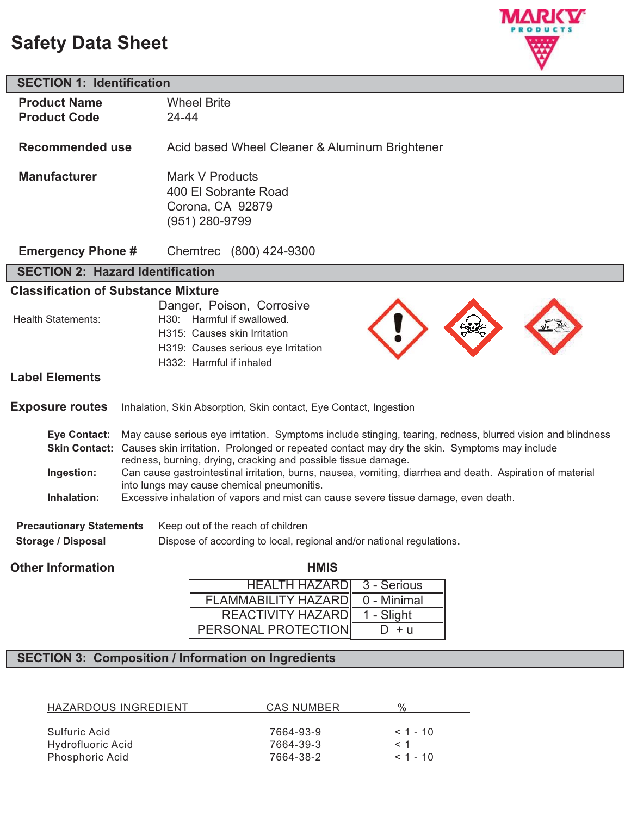# **Safety Data Sheet**



| <b>SECTION 1: Identification</b>           |                                                                                                                                   |  |  |  |
|--------------------------------------------|-----------------------------------------------------------------------------------------------------------------------------------|--|--|--|
| <b>Product Name</b>                        | <b>Wheel Brite</b>                                                                                                                |  |  |  |
| <b>Product Code</b>                        | 24-44                                                                                                                             |  |  |  |
|                                            |                                                                                                                                   |  |  |  |
| <b>Recommended use</b>                     | Acid based Wheel Cleaner & Aluminum Brightener                                                                                    |  |  |  |
|                                            |                                                                                                                                   |  |  |  |
| <b>Manufacturer</b>                        | Mark V Products                                                                                                                   |  |  |  |
|                                            | 400 El Sobrante Road                                                                                                              |  |  |  |
|                                            | Corona, CA 92879                                                                                                                  |  |  |  |
|                                            | (951) 280-9799                                                                                                                    |  |  |  |
| <b>Emergency Phone #</b>                   | Chemtrec (800) 424-9300                                                                                                           |  |  |  |
| <b>SECTION 2: Hazard Identification</b>    |                                                                                                                                   |  |  |  |
| <b>Classification of Substance Mixture</b> |                                                                                                                                   |  |  |  |
|                                            | Danger, Poison, Corrosive                                                                                                         |  |  |  |
| <b>Health Statements:</b>                  | H30: Harmful if swallowed.                                                                                                        |  |  |  |
|                                            | H315: Causes skin Irritation                                                                                                      |  |  |  |
|                                            | H319: Causes serious eye Irritation                                                                                               |  |  |  |
|                                            | H332: Harmful if inhaled                                                                                                          |  |  |  |
| <b>Label Elements</b>                      |                                                                                                                                   |  |  |  |
|                                            |                                                                                                                                   |  |  |  |
| <b>Exposure routes</b>                     | Inhalation, Skin Absorption, Skin contact, Eye Contact, Ingestion                                                                 |  |  |  |
| <b>Eye Contact:</b>                        | May cause serious eye irritation. Symptoms include stinging, tearing, redness, blurred vision and blindness                       |  |  |  |
|                                            | Skin Contact: Causes skin irritation. Prolonged or repeated contact may dry the skin. Symptoms may include                        |  |  |  |
|                                            | redness, burning, drying, cracking and possible tissue damage.                                                                    |  |  |  |
| Ingestion:                                 | Can cause gastrointestinal irritation, burns, nausea, vomiting, diarrhea and death. Aspiration of material                        |  |  |  |
| Inhalation:                                | into lungs may cause chemical pneumonitis.<br>Excessive inhalation of vapors and mist can cause severe tissue damage, even death. |  |  |  |
|                                            |                                                                                                                                   |  |  |  |
| <b>Precautionary Statements</b>            | Keep out of the reach of children                                                                                                 |  |  |  |
| <b>Storage / Disposal</b>                  | Dispose of according to local, regional and/or national regulations.                                                              |  |  |  |
|                                            |                                                                                                                                   |  |  |  |
| <b>Other Information</b>                   | <b>HMIS</b>                                                                                                                       |  |  |  |
|                                            | <b>HEALTH HAZARD</b><br>3 - Serious                                                                                               |  |  |  |
|                                            | <b>FLAMMABILITY HAZARD</b><br>0 - Minimal                                                                                         |  |  |  |

## **SECTION 3: Composition / Information on Ingredients**

| CAS NUMBER |            |
|------------|------------|
|            |            |
| 7664-93-9  | $< 1 - 10$ |
| 7664-39-3  | $<$ 1      |
| 7664-38-2  | $< 1 - 10$ |
|            |            |

REACTIVITY HAZARD PERSONAL PROTECTION 1 - Slight  $D + u$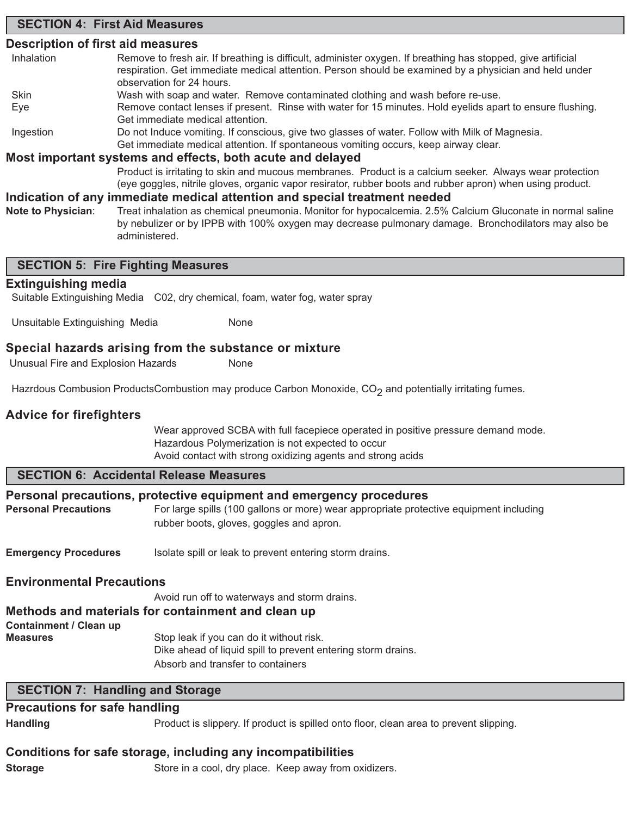## **SECTION 4: First Aid Measures**

## **Description of first aid measures**

| Inhalation                | Remove to fresh air. If breathing is difficult, administer oxygen. If breathing has stopped, give artificial<br>respiration. Get immediate medical attention. Person should be examined by a physician and held under<br>observation for 24 hours. |
|---------------------------|----------------------------------------------------------------------------------------------------------------------------------------------------------------------------------------------------------------------------------------------------|
| <b>Skin</b>               | Wash with soap and water. Remove contaminated clothing and wash before re-use.                                                                                                                                                                     |
| Eye                       | Remove contact lenses if present. Rinse with water for 15 minutes. Hold eyelids apart to ensure flushing.<br>Get immediate medical attention.                                                                                                      |
| Ingestion                 | Do not Induce vomiting. If conscious, give two glasses of water. Follow with Milk of Magnesia.<br>Get immediate medical attention. If spontaneous vomiting occurs, keep airway clear.                                                              |
|                           | Most important systems and effects, both acute and delayed                                                                                                                                                                                         |
|                           | Product is irritating to skin and mucous membranes. Product is a calcium seeker. Always wear protection<br>(eye goggles, nitrile gloves, organic vapor resirator, rubber boots and rubber apron) when using product.                               |
|                           | Indication of any immediate medical attention and special treatment needed                                                                                                                                                                         |
| <b>Note to Physician:</b> | Treat inhalation as chemical pneumonia. Monitor for hypocalcemia. 2.5% Calcium Gluconate in normal saline<br>by nebulizer or by IPPB with 100% oxygen may decrease pulmonary damage. Bronchodilators may also be                                   |

## **SECTION 5: Fire Fighting Measures**

administered.

#### **Extinguishing media**

Suitable Extinguishing Media C02, dry chemical, foam, water fog, water spray

Unsuitable Extinguishing Media None

#### **Special hazards arising from the substance or mixture**

Unusual Fire and Explosion Hazards None

Hazrdous Combusion ProductsCombustion may produce Carbon Monoxide,  $CO<sub>2</sub>$  and potentially irritating fumes.

## **Advice for firefighters**

Wear approved SCBA with full facepiece operated in positive pressure demand mode. Hazardous Polymerization is not expected to occur Avoid contact with strong oxidizing agents and strong acids

## **SECTION 6: Accidental Release Measures**

#### **Personal precautions, protective equipment and emergency procedures**

Personal Precautions For large spills (100 gallons or more) wear appropriate protective equipment including rubber boots, gloves, goggles and apron.

**Emergency Procedures** Isolate spill or leak to prevent entering storm drains.

#### **Environmental Precautions**

Avoid run off to waterways and storm drains. **Methods and materials for containment and clean up Containment / Clean up Measures** Stop leak if you can do it without risk. Dike ahead of liquid spill to prevent entering storm drains. Absorb and transfer to containers

#### **SECTION 7: Handling and Storage**

## **Precautions for safe handling**

**Handling** Product is slippery. If product is spilled onto floor, clean area to prevent slipping.

#### **Conditions for safe storage, including any incompatibilities**

**Storage** Store in a cool, dry place. Keep away from oxidizers.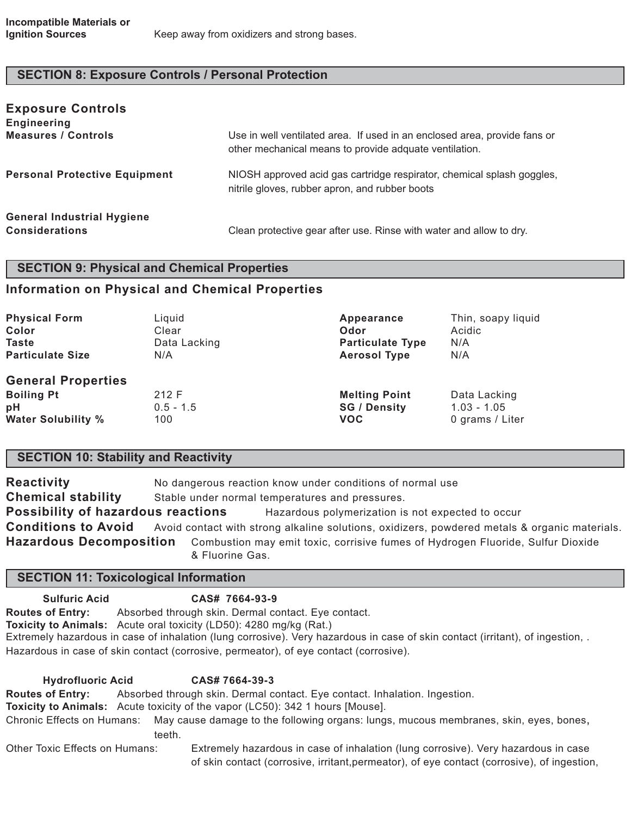## **SECTION 8: Exposure Controls / Personal Protection**

| <b>Exposure Controls</b><br><b>Engineering</b>             |                                                                                                                                     |
|------------------------------------------------------------|-------------------------------------------------------------------------------------------------------------------------------------|
| <b>Measures / Controls</b>                                 | Use in well ventilated area. If used in an enclosed area, provide fans or<br>other mechanical means to provide adquate ventilation. |
| <b>Personal Protective Equipment</b>                       | NIOSH approved acid gas cartridge respirator, chemical splash goggles,<br>nitrile gloves, rubber apron, and rubber boots            |
| <b>General Industrial Hygiene</b><br><b>Considerations</b> | Clean protective gear after use. Rinse with water and allow to dry.                                                                 |

#### **SECTION 9: Physical and Chemical Properties**

## **Information on Physical and Chemical Properties**

| <b>Physical Form</b>                                                              | Liquid                      | Appearance                                                | Thin, soapy liquid                               |
|-----------------------------------------------------------------------------------|-----------------------------|-----------------------------------------------------------|--------------------------------------------------|
| Color                                                                             | Clear                       | <b>Odor</b>                                               | Acidic                                           |
| <b>Taste</b>                                                                      | Data Lacking                | <b>Particulate Type</b>                                   | N/A                                              |
| <b>Particulate Size</b>                                                           | N/A                         | <b>Aerosol Type</b>                                       | N/A                                              |
| <b>General Properties</b><br><b>Boiling Pt</b><br>pH<br><b>Water Solubility %</b> | 212 F<br>$0.5 - 1.5$<br>100 | <b>Melting Point</b><br><b>SG / Density</b><br><b>VOC</b> | Data Lacking<br>$1.03 - 1.05$<br>0 grams / Liter |

### **SECTION 10: Stability and Reactivity**

**Reactivity** No dangerous reaction know under conditions of normal use **Chemical stability** Stable under normal temperatures and pressures. **Possibility of hazardous reactions** Hazardous polymerization is not expected to occur **Conditions to Avoid** Avoid contact with strong alkaline solutions, oxidizers, powdered metals & organic materials. **Hazardous Decomposition** Combustion may emit toxic, corrisive fumes of Hydrogen Fluoride, Sulfur Dioxide & Fluorine Gas.

## **SECTION 11: Toxicological Information**

**Sulfuric Acid CAS# 7664-93-9 Routes of Entry:** Absorbed through skin. Dermal contact. Eye contact. **Toxicity to Animals:** Acute oral toxicity (LD50): 4280 mg/kg (Rat.) Extremely hazardous in case of inhalation (lung corrosive). Very hazardous in case of skin contact (irritant), of ingestion, . Hazardous in case of skin contact (corrosive, permeator), of eye contact (corrosive). **Hydrofluoric Acid CAS# 7664-39-3 Routes of Entry:** Absorbed through skin. Dermal contact. Eye contact. Inhalation. Ingestion. **Toxicity to Animals:** Acute toxicity of the vapor (LC50): 342 1 hours [Mouse].

Chronic Effects on Humans: May cause damage to the following organs: lungs, mucous membranes, skin, eyes, bones, teeth.

Other Toxic Effects on Humans: Extremely hazardous in case of inhalation (lung corrosive). Very hazardous in case of skin contact (corrosive, irritant,permeator), of eye contact (corrosive), of ingestion,